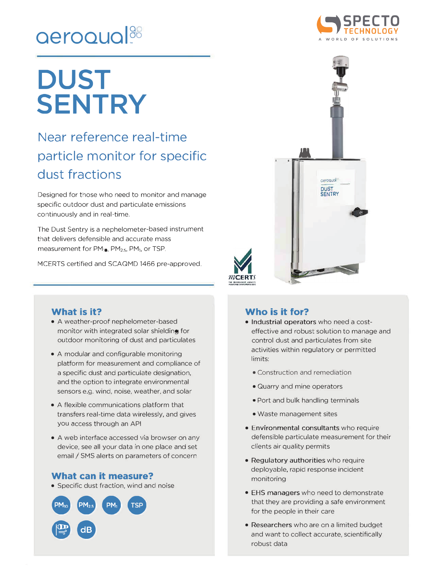## **aeroaual?<sup>0</sup>**

# **DUST SENTRY**

### **Near reference real-time particle monitor for specific dust fractions**

Designed for those who need to monitor and manage specific outdoor dust and particulate emissions continuously and in real-time.

The Dust Sentry is a nephelometer-based instrument that delivers defensible and accurate mass measurement for PM<sub>10</sub>, PM<sub>2.5</sub>, PM<sub>1</sub>, or TSP.

MCERTS certified and SCAQMD 1466 pre-approved.

#### **What is it?**

- A weather-proof nephelometer-based monitor with integrated solar shielding for outdoor monitoring of dust and particulates
- A modular and configurable monitoring platform for measurement and compliance of a specific dust and particulate designation, and the option to integrate environmental sensors e.g. wind, noise, weather, and solar
- A flexible communications platform that transfers real-time data wirelessly, and gives you access through an API
- A web interface accessed via browser on any device, see all your data in one place and set email/ SMS alerts on parameters of concern

#### **What can it measure?**

• Specific dust fraction, wind and noise







#### **Who is it for?**

- **Industrial operators** who need a costeffective and robust solution to manage and control dust and particulates from site activities within regulatory or permitted limits:
	- Construction and remediation
	- Quarry and mine operators
	- Port and bulk handling terminals
	- Waste management sites
- **Environmental consultants** who require defensible particulate measurement for their clients air quality permits
- **Regulatory authorities** who require deployable, rapid response incident monitoring
- EHS managers who need to demonstrate that they are providing a safe environment for the people in their care
- **Researchers** who are on a limited budget and want to collect accurate, scientifically robust data